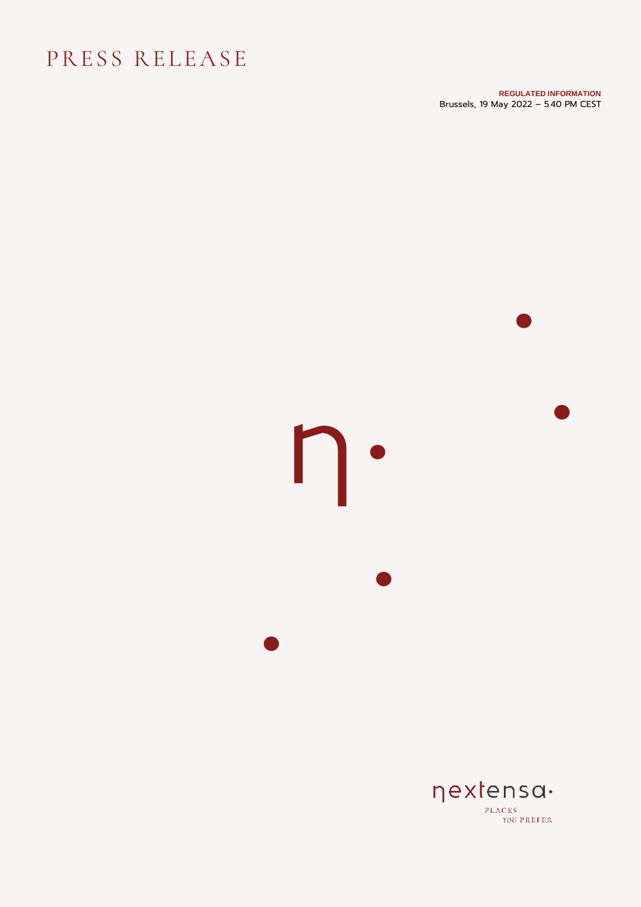## PRESS RELEASE

**REGULATED INFORMATION** Brussels, 19 May 2022 – 5.40 PM CEST

•  $\mathsf{D}\cdot$ **•** • •